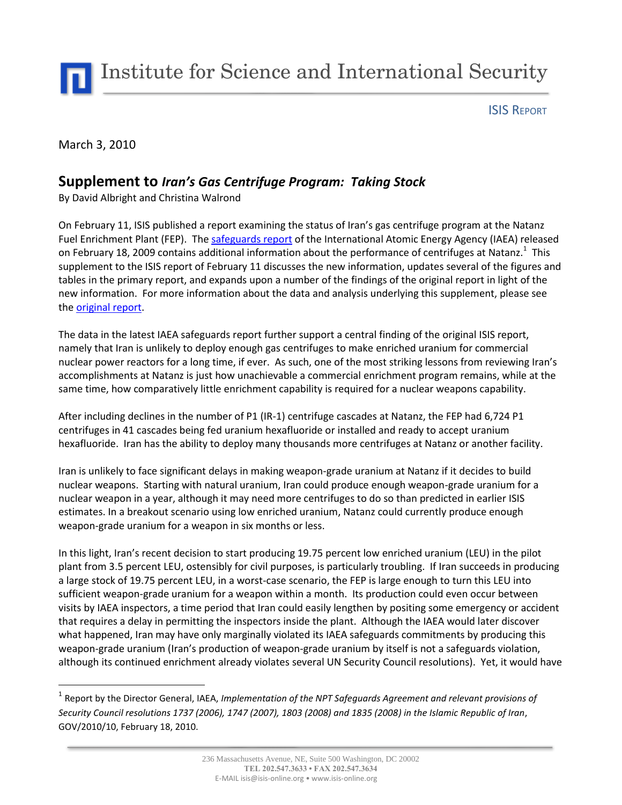Institute for Science and International Security

ISIS REPORT

March 3, 2010

 $\overline{a}$ 

### **Supplement to** *Iran's Gas Centrifuge Program: Taking Stock*

By David Albright and Christina Walrond

On February 11, ISIS published a report examining the status of Iran's gas centrifuge program at the Natanz Fuel Enrichment Plant (FEP). The [safeguards report](http://isis-online.org/uploads/isis-reports/documents/IAEA_Report_Iran_18Feb2010.pdf) of the International Atomic Energy Agency (IAEA) released on February 18, 2009 contains additional information about the performance of centrifuges at Natanz.<sup>1</sup> This supplement to the ISIS report of February 11 discusses the new information, updates several of the figures and tables in the primary report, and expands upon a number of the findings of the original report in light of the new information. For more information about the data and analysis underlying this supplement, please see the [original report.](http://isis-online.org/uploads/isis-reports/documents/IAEA_Iran_Report_Analysis_18Feb2010.pdf)

The data in the latest IAEA safeguards report further support a central finding of the original ISIS report, namely that Iran is unlikely to deploy enough gas centrifuges to make enriched uranium for commercial nuclear power reactors for a long time, if ever. As such, one of the most striking lessons from reviewing Iran's accomplishments at Natanz is just how unachievable a commercial enrichment program remains, while at the same time, how comparatively little enrichment capability is required for a nuclear weapons capability.

After including declines in the number of P1 (IR-1) centrifuge cascades at Natanz, the FEP had 6,724 P1 centrifuges in 41 cascades being fed uranium hexafluoride or installed and ready to accept uranium hexafluoride. Iran has the ability to deploy many thousands more centrifuges at Natanz or another facility.

Iran is unlikely to face significant delays in making weapon-grade uranium at Natanz if it decides to build nuclear weapons. Starting with natural uranium, Iran could produce enough weapon-grade uranium for a nuclear weapon in a year, although it may need more centrifuges to do so than predicted in earlier ISIS estimates. In a breakout scenario using low enriched uranium, Natanz could currently produce enough weapon-grade uranium for a weapon in six months or less.

In this light, Iran's recent decision to start producing 19.75 percent low enriched uranium (LEU) in the pilot plant from 3.5 percent LEU, ostensibly for civil purposes, is particularly troubling. If Iran succeeds in producing a large stock of 19.75 percent LEU, in a worst-case scenario, the FEP is large enough to turn this LEU into sufficient weapon-grade uranium for a weapon within a month. Its production could even occur between visits by IAEA inspectors, a time period that Iran could easily lengthen by positing some emergency or accident that requires a delay in permitting the inspectors inside the plant. Although the IAEA would later discover what happened, Iran may have only marginally violated its IAEA safeguards commitments by producing this weapon-grade uranium (Iran's production of weapon-grade uranium by itself is not a safeguards violation, although its continued enrichment already violates several UN Security Council resolutions). Yet, it would have

<sup>&</sup>lt;sup>1</sup> Report by the Director General, IAEA, *Implementation of the NPT Safeguards Agreement and relevant provisions of Security Council resolutions 1737 (2006), 1747 (2007), 1803 (2008) and 1835 (2008) in the Islamic Republic of Iran*, GOV/2010/10, February 18, 2010.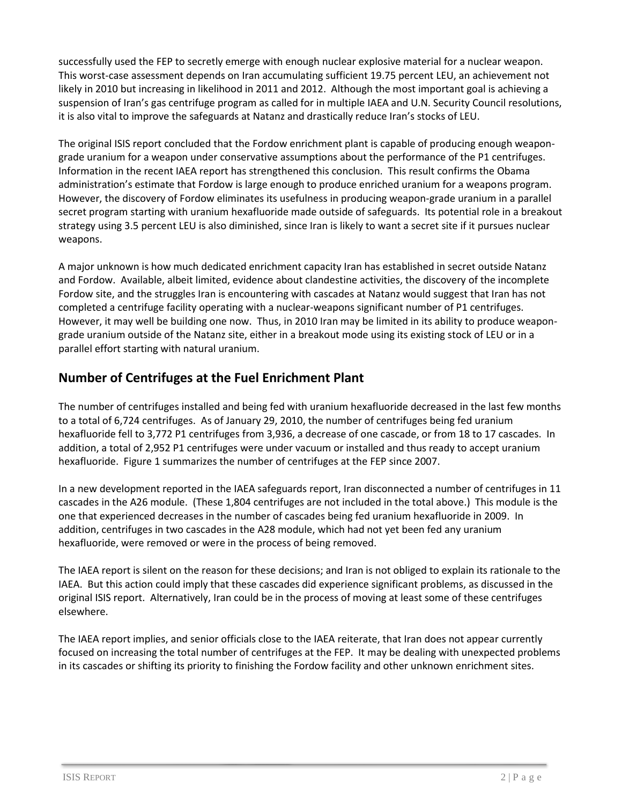successfully used the FEP to secretly emerge with enough nuclear explosive material for a nuclear weapon. This worst-case assessment depends on Iran accumulating sufficient 19.75 percent LEU, an achievement not likely in 2010 but increasing in likelihood in 2011 and 2012. Although the most important goal is achieving a suspension of Iran's gas centrifuge program as called for in multiple IAEA and U.N. Security Council resolutions, it is also vital to improve the safeguards at Natanz and drastically reduce Iran's stocks of LEU.

The original ISIS report concluded that the Fordow enrichment plant is capable of producing enough weapongrade uranium for a weapon under conservative assumptions about the performance of the P1 centrifuges. Information in the recent IAEA report has strengthened this conclusion. This result confirms the Obama administration's estimate that Fordow is large enough to produce enriched uranium for a weapons program. However, the discovery of Fordow eliminates its usefulness in producing weapon-grade uranium in a parallel secret program starting with uranium hexafluoride made outside of safeguards. Its potential role in a breakout strategy using 3.5 percent LEU is also diminished, since Iran is likely to want a secret site if it pursues nuclear weapons.

A major unknown is how much dedicated enrichment capacity Iran has established in secret outside Natanz and Fordow. Available, albeit limited, evidence about clandestine activities, the discovery of the incomplete Fordow site, and the struggles Iran is encountering with cascades at Natanz would suggest that Iran has not completed a centrifuge facility operating with a nuclear-weapons significant number of P1 centrifuges. However, it may well be building one now. Thus, in 2010 Iran may be limited in its ability to produce weapongrade uranium outside of the Natanz site, either in a breakout mode using its existing stock of LEU or in a parallel effort starting with natural uranium.

#### **Number of Centrifuges at the Fuel Enrichment Plant**

The number of centrifuges installed and being fed with uranium hexafluoride decreased in the last few months to a total of 6,724 centrifuges. As of January 29, 2010, the number of centrifuges being fed uranium hexafluoride fell to 3,772 P1 centrifuges from 3,936, a decrease of one cascade, or from 18 to 17 cascades. In addition, a total of 2,952 P1 centrifuges were under vacuum or installed and thus ready to accept uranium hexafluoride. Figure 1 summarizes the number of centrifuges at the FEP since 2007.

In a new development reported in the IAEA safeguards report, Iran disconnected a number of centrifuges in 11 cascades in the A26 module. (These 1,804 centrifuges are not included in the total above.) This module is the one that experienced decreases in the number of cascades being fed uranium hexafluoride in 2009. In addition, centrifuges in two cascades in the A28 module, which had not yet been fed any uranium hexafluoride, were removed or were in the process of being removed.

The IAEA report is silent on the reason for these decisions; and Iran is not obliged to explain its rationale to the IAEA. But this action could imply that these cascades did experience significant problems, as discussed in the original ISIS report. Alternatively, Iran could be in the process of moving at least some of these centrifuges elsewhere.

The IAEA report implies, and senior officials close to the IAEA reiterate, that Iran does not appear currently focused on increasing the total number of centrifuges at the FEP. It may be dealing with unexpected problems in its cascades or shifting its priority to finishing the Fordow facility and other unknown enrichment sites.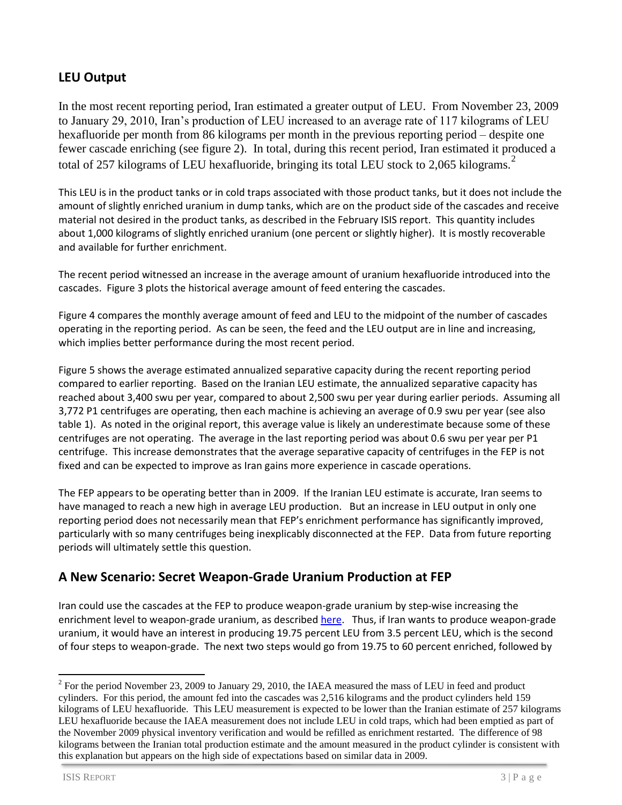## **LEU Output**

In the most recent reporting period, Iran estimated a greater output of LEU. From November 23, 2009 to January 29, 2010, Iran's production of LEU increased to an average rate of 117 kilograms of LEU hexafluoride per month from 86 kilograms per month in the previous reporting period – despite one fewer cascade enriching (see figure 2). In total, during this recent period, Iran estimated it produced a total of 257 kilograms of LEU hexafluoride, bringing its total LEU stock to 2,065 kilograms.<sup>2</sup>

This LEU is in the product tanks or in cold traps associated with those product tanks, but it does not include the amount of slightly enriched uranium in dump tanks, which are on the product side of the cascades and receive material not desired in the product tanks, as described in the February ISIS report. This quantity includes about 1,000 kilograms of slightly enriched uranium (one percent or slightly higher). It is mostly recoverable and available for further enrichment.

The recent period witnessed an increase in the average amount of uranium hexafluoride introduced into the cascades. Figure 3 plots the historical average amount of feed entering the cascades.

Figure 4 compares the monthly average amount of feed and LEU to the midpoint of the number of cascades operating in the reporting period. As can be seen, the feed and the LEU output are in line and increasing, which implies better performance during the most recent period.

Figure 5 shows the average estimated annualized separative capacity during the recent reporting period compared to earlier reporting. Based on the Iranian LEU estimate, the annualized separative capacity has reached about 3,400 swu per year, compared to about 2,500 swu per year during earlier periods. Assuming all 3,772 P1 centrifuges are operating, then each machine is achieving an average of 0.9 swu per year (see also table 1). As noted in the original report, this average value is likely an underestimate because some of these centrifuges are not operating. The average in the last reporting period was about 0.6 swu per year per P1 centrifuge. This increase demonstrates that the average separative capacity of centrifuges in the FEP is not fixed and can be expected to improve as Iran gains more experience in cascade operations.

The FEP appears to be operating better than in 2009. If the Iranian LEU estimate is accurate, Iran seems to have managed to reach a new high in average LEU production. But an increase in LEU output in only one reporting period does not necessarily mean that FEP's enrichment performance has significantly improved, particularly with so many centrifuges being inexplicably disconnected at the FEP. Data from future reporting periods will ultimately settle this question.

### **A New Scenario: Secret Weapon-Grade Uranium Production at FEP**

Iran could use the cascades at the FEP to produce weapon-grade uranium by step-wise increasing the enrichment level to weapon-grade uranium, as described [here.](http://www.armscontrol.org/act/2009_12/AlbrightShire) Thus, if Iran wants to produce weapon-grade uranium, it would have an interest in producing 19.75 percent LEU from 3.5 percent LEU, which is the second of four steps to weapon-grade. The next two steps would go from 19.75 to 60 percent enriched, followed by

 $\overline{a}$ 

 $2^2$  For the period November 23, 2009 to January 29, 2010, the IAEA measured the mass of LEU in feed and product cylinders. For this period, the amount fed into the cascades was 2,516 kilograms and the product cylinders held 159 kilograms of LEU hexafluoride. This LEU measurement is expected to be lower than the Iranian estimate of 257 kilograms LEU hexafluoride because the IAEA measurement does not include LEU in cold traps, which had been emptied as part of the November 2009 physical inventory verification and would be refilled as enrichment restarted. The difference of 98 kilograms between the Iranian total production estimate and the amount measured in the product cylinder is consistent with this explanation but appears on the high side of expectations based on similar data in 2009.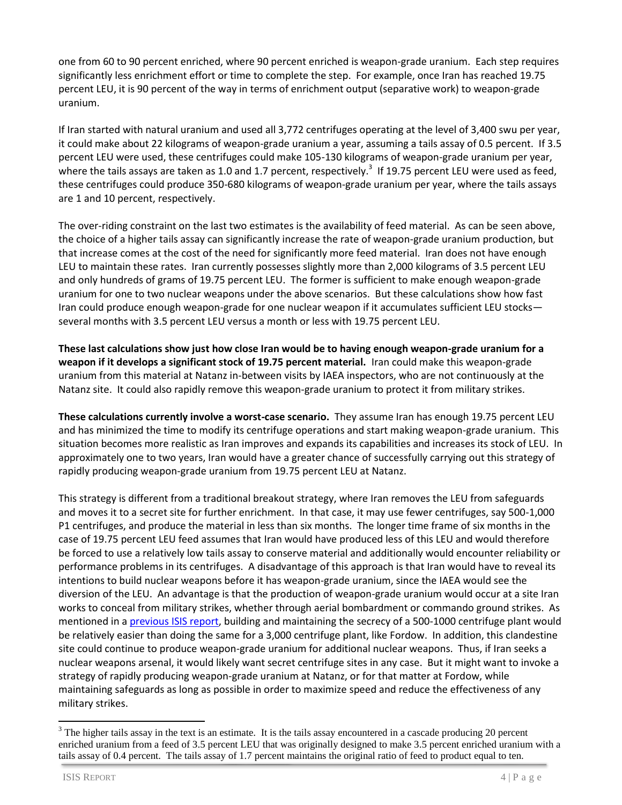one from 60 to 90 percent enriched, where 90 percent enriched is weapon-grade uranium. Each step requires significantly less enrichment effort or time to complete the step. For example, once Iran has reached 19.75 percent LEU, it is 90 percent of the way in terms of enrichment output (separative work) to weapon-grade uranium.

If Iran started with natural uranium and used all 3,772 centrifuges operating at the level of 3,400 swu per year, it could make about 22 kilograms of weapon-grade uranium a year, assuming a tails assay of 0.5 percent. If 3.5 percent LEU were used, these centrifuges could make 105-130 kilograms of weapon-grade uranium per year, where the tails assays are taken as 1.0 and 1.7 percent, respectively.<sup>3</sup> If 19.75 percent LEU were used as feed, these centrifuges could produce 350-680 kilograms of weapon-grade uranium per year, where the tails assays are 1 and 10 percent, respectively.

The over-riding constraint on the last two estimates is the availability of feed material. As can be seen above, the choice of a higher tails assay can significantly increase the rate of weapon-grade uranium production, but that increase comes at the cost of the need for significantly more feed material. Iran does not have enough LEU to maintain these rates. Iran currently possesses slightly more than 2,000 kilograms of 3.5 percent LEU and only hundreds of grams of 19.75 percent LEU. The former is sufficient to make enough weapon-grade uranium for one to two nuclear weapons under the above scenarios. But these calculations show how fast Iran could produce enough weapon-grade for one nuclear weapon if it accumulates sufficient LEU stocks several months with 3.5 percent LEU versus a month or less with 19.75 percent LEU.

**These last calculations show just how close Iran would be to having enough weapon-grade uranium for a weapon if it develops a significant stock of 19.75 percent material.** Iran could make this weapon-grade uranium from this material at Natanz in-between visits by IAEA inspectors, who are not continuously at the Natanz site. It could also rapidly remove this weapon-grade uranium to protect it from military strikes.

**These calculations currently involve a worst-case scenario.** They assume Iran has enough 19.75 percent LEU and has minimized the time to modify its centrifuge operations and start making weapon-grade uranium. This situation becomes more realistic as Iran improves and expands its capabilities and increases its stock of LEU. In approximately one to two years, Iran would have a greater chance of successfully carrying out this strategy of rapidly producing weapon-grade uranium from 19.75 percent LEU at Natanz.

This strategy is different from a traditional breakout strategy, where Iran removes the LEU from safeguards and moves it to a secret site for further enrichment. In that case, it may use fewer centrifuges, say 500-1,000 P1 centrifuges, and produce the material in less than six months. The longer time frame of six months in the case of 19.75 percent LEU feed assumes that Iran would have produced less of this LEU and would therefore be forced to use a relatively low tails assay to conserve material and additionally would encounter reliability or performance problems in its centrifuges. A disadvantage of this approach is that Iran would have to reveal its intentions to build nuclear weapons before it has weapon-grade uranium, since the IAEA would see the diversion of the LEU. An advantage is that the production of weapon-grade uranium would occur at a site Iran works to conceal from military strikes, whether through aerial bombardment or commando ground strikes. As mentioned in [a previous ISIS report,](http://isis-online.org/isis-reports/detail/irans-recent-statements-about-production-of-fuel-for-the-tehran-research-re/) building and maintaining the secrecy of a 500-1000 centrifuge plant would be relatively easier than doing the same for a 3,000 centrifuge plant, like Fordow. In addition, this clandestine site could continue to produce weapon-grade uranium for additional nuclear weapons. Thus, if Iran seeks a nuclear weapons arsenal, it would likely want secret centrifuge sites in any case. But it might want to invoke a strategy of rapidly producing weapon-grade uranium at Natanz, or for that matter at Fordow, while maintaining safeguards as long as possible in order to maximize speed and reduce the effectiveness of any military strikes.

 $\ddot{\phantom{a}}$ 

<sup>&</sup>lt;sup>3</sup> The higher tails assay in the text is an estimate. It is the tails assay encountered in a cascade producing 20 percent enriched uranium from a feed of 3.5 percent LEU that was originally designed to make 3.5 percent enriched uranium with a tails assay of 0.4 percent. The tails assay of 1.7 percent maintains the original ratio of feed to product equal to ten.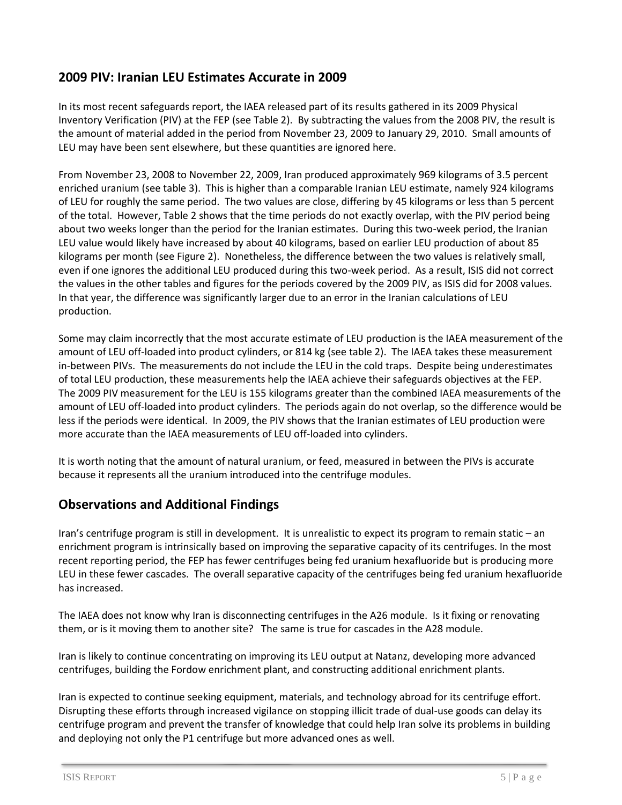### **2009 PIV: Iranian LEU Estimates Accurate in 2009**

In its most recent safeguards report, the IAEA released part of its results gathered in its 2009 Physical Inventory Verification (PIV) at the FEP (see Table 2). By subtracting the values from the 2008 PIV, the result is the amount of material added in the period from November 23, 2009 to January 29, 2010. Small amounts of LEU may have been sent elsewhere, but these quantities are ignored here.

From November 23, 2008 to November 22, 2009, Iran produced approximately 969 kilograms of 3.5 percent enriched uranium (see table 3). This is higher than a comparable Iranian LEU estimate, namely 924 kilograms of LEU for roughly the same period. The two values are close, differing by 45 kilograms or less than 5 percent of the total. However, Table 2 shows that the time periods do not exactly overlap, with the PIV period being about two weeks longer than the period for the Iranian estimates. During this two-week period, the Iranian LEU value would likely have increased by about 40 kilograms, based on earlier LEU production of about 85 kilograms per month (see Figure 2). Nonetheless, the difference between the two values is relatively small, even if one ignores the additional LEU produced during this two-week period. As a result, ISIS did not correct the values in the other tables and figures for the periods covered by the 2009 PIV, as ISIS did for 2008 values. In that year, the difference was significantly larger due to an error in the Iranian calculations of LEU production.

Some may claim incorrectly that the most accurate estimate of LEU production is the IAEA measurement of the amount of LEU off-loaded into product cylinders, or 814 kg (see table 2). The IAEA takes these measurement in-between PIVs. The measurements do not include the LEU in the cold traps. Despite being underestimates of total LEU production, these measurements help the IAEA achieve their safeguards objectives at the FEP. The 2009 PIV measurement for the LEU is 155 kilograms greater than the combined IAEA measurements of the amount of LEU off-loaded into product cylinders. The periods again do not overlap, so the difference would be less if the periods were identical. In 2009, the PIV shows that the Iranian estimates of LEU production were more accurate than the IAEA measurements of LEU off-loaded into cylinders.

It is worth noting that the amount of natural uranium, or feed, measured in between the PIVs is accurate because it represents all the uranium introduced into the centrifuge modules.

#### **Observations and Additional Findings**

Iran's centrifuge program is still in development. It is unrealistic to expect its program to remain static – an enrichment program is intrinsically based on improving the separative capacity of its centrifuges. In the most recent reporting period, the FEP has fewer centrifuges being fed uranium hexafluoride but is producing more LEU in these fewer cascades. The overall separative capacity of the centrifuges being fed uranium hexafluoride has increased.

The IAEA does not know why Iran is disconnecting centrifuges in the A26 module. Is it fixing or renovating them, or is it moving them to another site? The same is true for cascades in the A28 module.

Iran is likely to continue concentrating on improving its LEU output at Natanz, developing more advanced centrifuges, building the Fordow enrichment plant, and constructing additional enrichment plants.

Iran is expected to continue seeking equipment, materials, and technology abroad for its centrifuge effort. Disrupting these efforts through increased vigilance on stopping illicit trade of dual-use goods can delay its centrifuge program and prevent the transfer of knowledge that could help Iran solve its problems in building and deploying not only the P1 centrifuge but more advanced ones as well.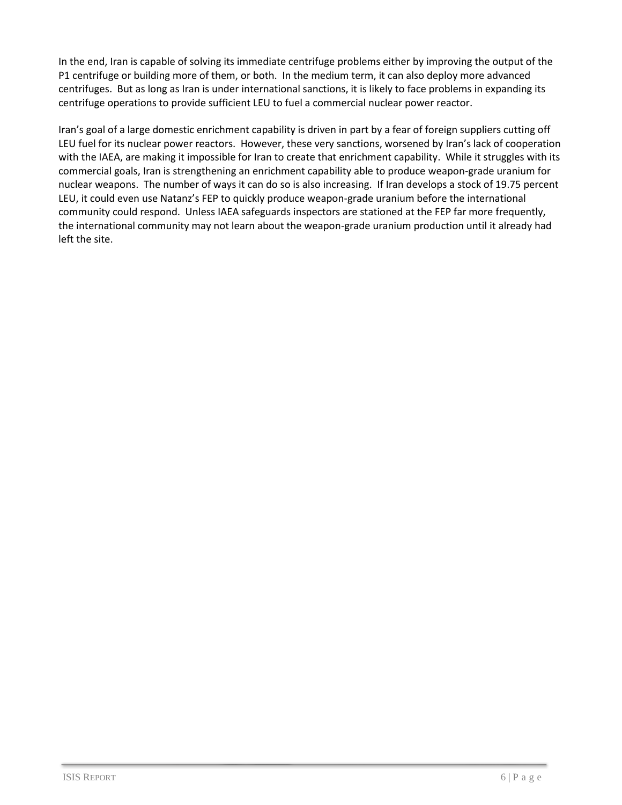In the end, Iran is capable of solving its immediate centrifuge problems either by improving the output of the P1 centrifuge or building more of them, or both. In the medium term, it can also deploy more advanced centrifuges. But as long as Iran is under international sanctions, it is likely to face problems in expanding its centrifuge operations to provide sufficient LEU to fuel a commercial nuclear power reactor.

Iran's goal of a large domestic enrichment capability is driven in part by a fear of foreign suppliers cutting off LEU fuel for its nuclear power reactors. However, these very sanctions, worsened by Iran's lack of cooperation with the IAEA, are making it impossible for Iran to create that enrichment capability. While it struggles with its commercial goals, Iran is strengthening an enrichment capability able to produce weapon-grade uranium for nuclear weapons. The number of ways it can do so is also increasing. If Iran develops a stock of 19.75 percent LEU, it could even use Natanz's FEP to quickly produce weapon-grade uranium before the international community could respond. Unless IAEA safeguards inspectors are stationed at the FEP far more frequently, the international community may not learn about the weapon-grade uranium production until it already had left the site.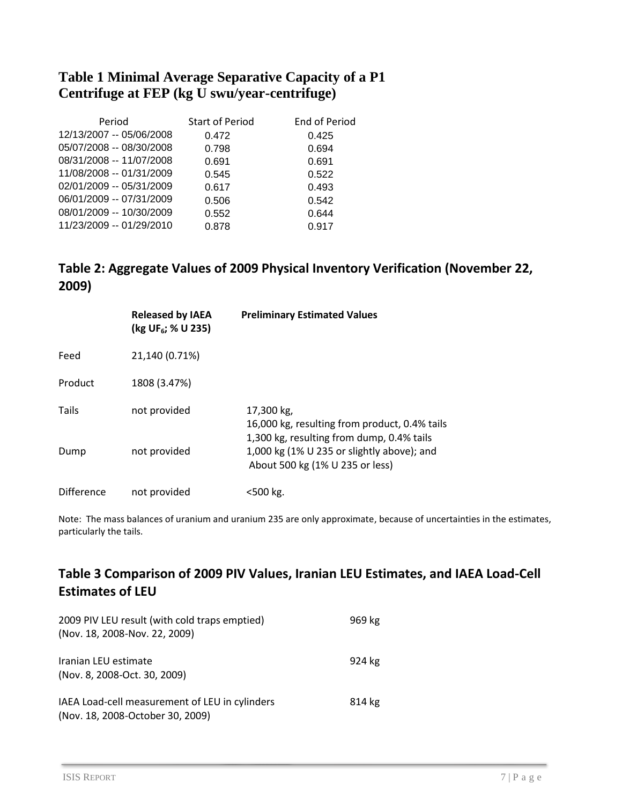# **Table 1 Minimal Average Separative Capacity of a P1 Centrifuge at FEP (kg U swu/year-centrifuge)**

| Period                   | <b>Start of Period</b> | End of Period |
|--------------------------|------------------------|---------------|
| 12/13/2007 -- 05/06/2008 | 0.472                  | 0.425         |
| 05/07/2008 -- 08/30/2008 | 0.798                  | 0.694         |
| 08/31/2008 -- 11/07/2008 | 0.691                  | 0.691         |
| 11/08/2008 -- 01/31/2009 | 0.545                  | 0.522         |
| 02/01/2009 -- 05/31/2009 | 0.617                  | 0.493         |
| 06/01/2009 -- 07/31/2009 | 0.506                  | 0.542         |
| 08/01/2009 -- 10/30/2009 | 0.552                  | 0.644         |
| 11/23/2009 -- 01/29/2010 | 0.878                  | 0.917         |

## **Table 2: Aggregate Values of 2009 Physical Inventory Verification (November 22, 2009)**

|            | <b>Released by IAEA</b><br>(kg UF <sub>6</sub> ; % U 235) | <b>Preliminary Estimated Values</b>                                                                      |
|------------|-----------------------------------------------------------|----------------------------------------------------------------------------------------------------------|
| Feed       | 21,140 (0.71%)                                            |                                                                                                          |
| Product    | 1808 (3.47%)                                              |                                                                                                          |
| Tails      | not provided                                              | 17,300 kg,<br>16,000 kg, resulting from product, 0.4% tails<br>1,300 kg, resulting from dump, 0.4% tails |
| Dump       | not provided                                              | 1,000 kg (1% U 235 or slightly above); and<br>About 500 kg (1% U 235 or less)                            |
| Difference | not provided                                              | <500 kg.                                                                                                 |

Note: The mass balances of uranium and uranium 235 are only approximate, because of uncertainties in the estimates, particularly the tails.

# **Table 3 Comparison of 2009 PIV Values, Iranian LEU Estimates, and IAEA Load-Cell Estimates of LEU**

| 2009 PIV LEU result (with cold traps emptied)<br>(Nov. 18, 2008-Nov. 22, 2009)     | 969 kg |
|------------------------------------------------------------------------------------|--------|
| Iranian LEU estimate<br>(Nov. 8, 2008-Oct. 30, 2009)                               | 924 kg |
| IAEA Load-cell measurement of LEU in cylinders<br>(Nov. 18, 2008-October 30, 2009) | 814 kg |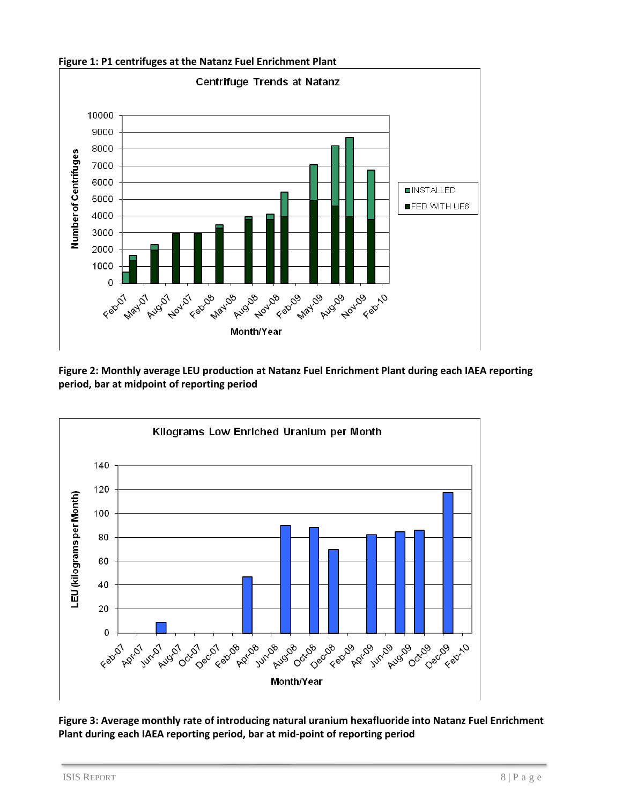



**Figure 2: Monthly average LEU production at Natanz Fuel Enrichment Plant during each IAEA reporting period, bar at midpoint of reporting period**



**Figure 3: Average monthly rate of introducing natural uranium hexafluoride into Natanz Fuel Enrichment Plant during each IAEA reporting period, bar at mid-point of reporting period**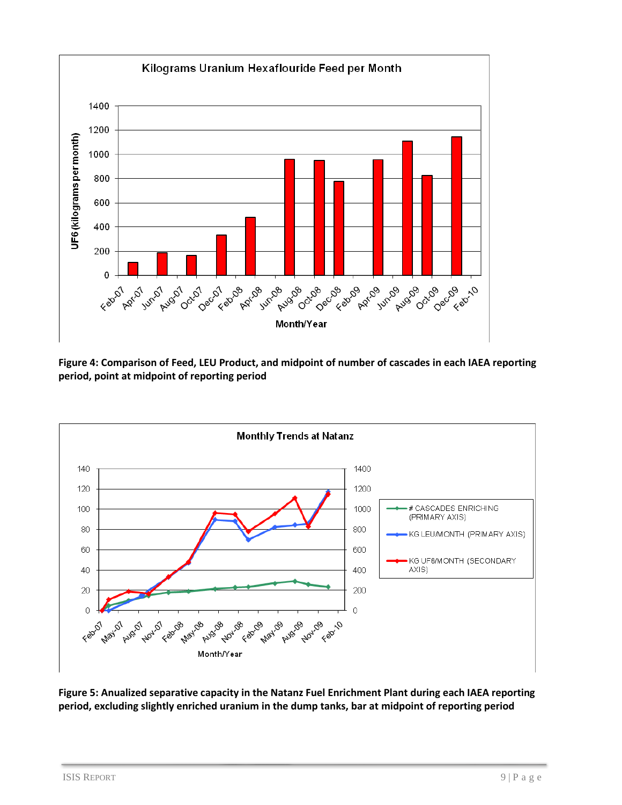

**Figure 4: Comparison of Feed, LEU Product, and midpoint of number of cascades in each IAEA reporting period, point at midpoint of reporting period**



**Figure 5: Anualized separative capacity in the Natanz Fuel Enrichment Plant during each IAEA reporting period, excluding slightly enriched uranium in the dump tanks, bar at midpoint of reporting period**